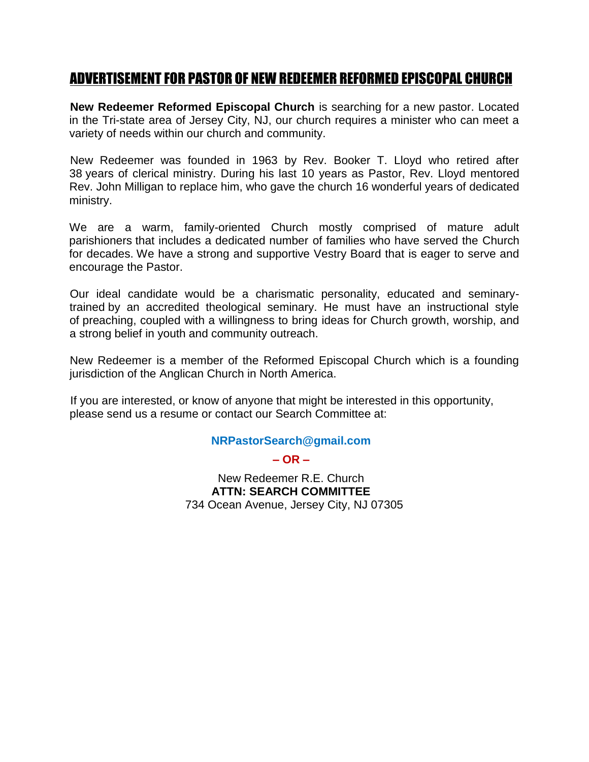# ADVERTISEMENT FOR PASTOR OF NEW REDEEMER REFORMED EPISCOPAL CHURCH

**New Redeemer Reformed Episcopal Church** is searching for a new pastor. Located in the Tri-state area of Jersey City, NJ, our church requires a minister who can meet a variety of needs within our church and community.

New Redeemer was founded in 1963 by Rev. Booker T. Lloyd who retired after 38 years of clerical ministry. During his last 10 years as Pastor, Rev. Lloyd mentored Rev. John Milligan to replace him, who gave the church 16 wonderful years of dedicated ministry.

We are a warm, family-oriented Church mostly comprised of mature adult parishioners that includes a dedicated number of families who have served the Church for decades. We have a strong and supportive Vestry Board that is eager to serve and encourage the Pastor.

Our ideal candidate would be a charismatic personality, educated and seminarytrained by an accredited theological seminary. He must have an instructional style of preaching, coupled with a willingness to bring ideas for Church growth, worship, and a strong belief in youth and community outreach.

New Redeemer is a member of the Reformed Episcopal Church which is a founding jurisdiction of the Anglican Church in North America.

If you are interested, or know of anyone that might be interested in this opportunity, please send us a resume or contact our Search Committee at:

#### **NRPastorSearch@gmail.com**

**– OR –** 

New Redeemer R.E. Church **ATTN: SEARCH COMMITTEE**  734 Ocean Avenue, Jersey City, NJ 07305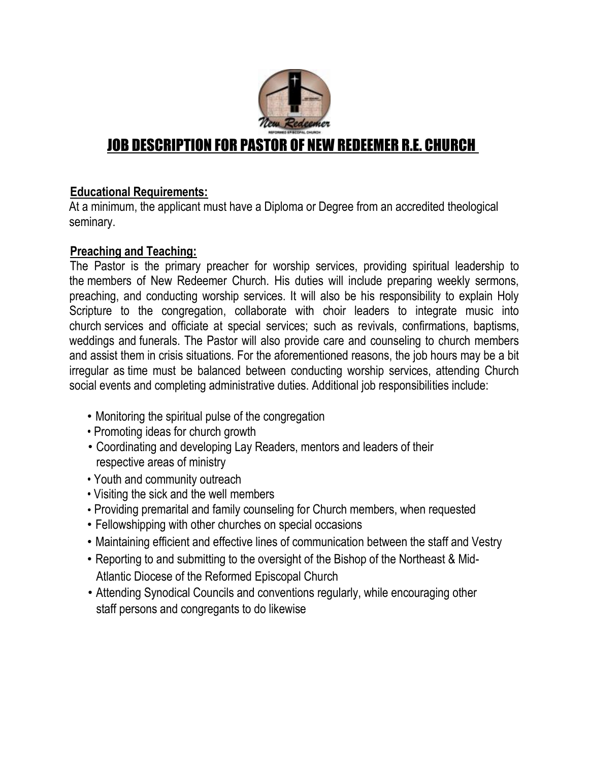

# JOB DESCRIPTION FOR PASTOR OF NEW REDEEMER R.E. CHURCH

### **Educational Requirements:**

At a minimum, the applicant must have a Diploma or Degree from an accredited theological seminary.

### **Preaching and Teaching:**

The Pastor is the primary preacher for worship services, providing spiritual leadership to the members of New Redeemer Church. His duties will include preparing weekly sermons, preaching, and conducting worship services. It will also be his responsibility to explain Holy Scripture to the congregation, collaborate with choir leaders to integrate music into church services and officiate at special services; such as revivals, confirmations, baptisms, weddings and funerals. The Pastor will also provide care and counseling to church members and assist them in crisis situations. For the aforementioned reasons, the job hours may be a bit irregular as time must be balanced between conducting worship services, attending Church social events and completing administrative duties. Additional job responsibilities include:

- Monitoring the spiritual pulse of the congregation
- Promoting ideas for church growth
- Coordinating and developing Lay Readers, mentors and leaders of their respective areas of ministry
- Youth and community outreach
- Visiting the sick and the well members
- Providing premarital and family counseling for Church members, when requested
- Fellowshipping with other churches on special occasions
- Maintaining efficient and effective lines of communication between the staff and Vestry
- Reporting to and submitting to the oversight of the Bishop of the Northeast & Mid- Atlantic Diocese of the Reformed Episcopal Church
- Attending Synodical Councils and conventions regularly, while encouraging other staff persons and congregants to do likewise